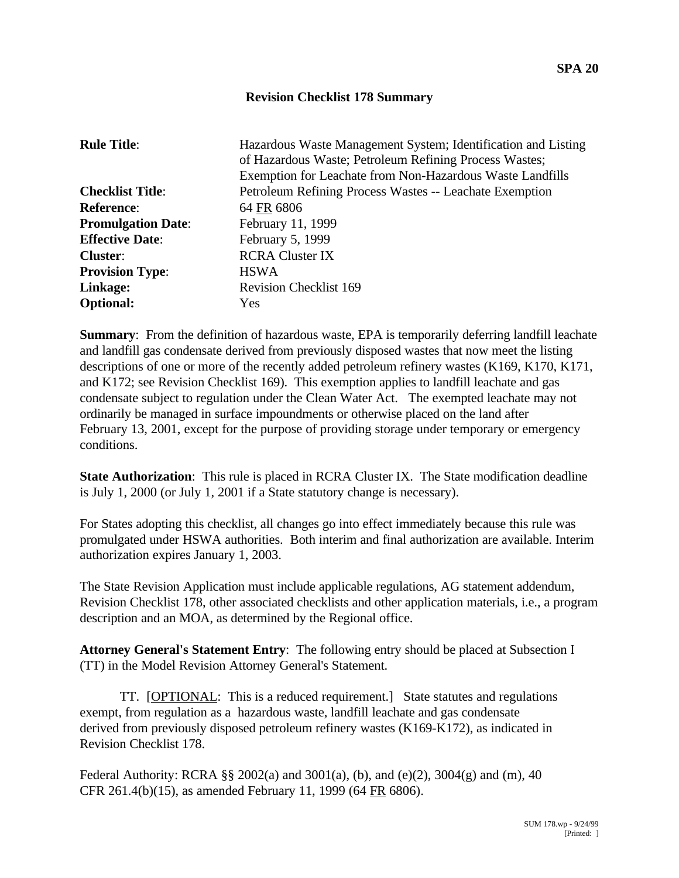## **Revision Checklist 178 Summary**

| <b>Rule Title:</b>        | Hazardous Waste Management System; Identification and Listing<br>of Hazardous Waste; Petroleum Refining Process Wastes;<br>Exemption for Leachate from Non-Hazardous Waste Landfills |
|---------------------------|--------------------------------------------------------------------------------------------------------------------------------------------------------------------------------------|
| <b>Checklist Title:</b>   | Petroleum Refining Process Wastes -- Leachate Exemption                                                                                                                              |
| <b>Reference:</b>         | 64 FR 6806                                                                                                                                                                           |
| <b>Promulgation Date:</b> | February 11, 1999                                                                                                                                                                    |
| <b>Effective Date:</b>    | February 5, 1999                                                                                                                                                                     |
| <b>Cluster:</b>           | <b>RCRA Cluster IX</b>                                                                                                                                                               |
| <b>Provision Type:</b>    | <b>HSWA</b>                                                                                                                                                                          |
| Linkage:                  | <b>Revision Checklist 169</b>                                                                                                                                                        |
| <b>Optional:</b>          | <b>Yes</b>                                                                                                                                                                           |

**Summary**: From the definition of hazardous waste, EPA is temporarily deferring landfill leachate and landfill gas condensate derived from previously disposed wastes that now meet the listing descriptions of one or more of the recently added petroleum refinery wastes (K169, K170, K171, and K172; see Revision Checklist 169). This exemption applies to landfill leachate and gas condensate subject to regulation under the Clean Water Act. The exempted leachate may not ordinarily be managed in surface impoundments or otherwise placed on the land after February 13, 2001, except for the purpose of providing storage under temporary or emergency conditions.

**State Authorization**: This rule is placed in RCRA Cluster IX. The State modification deadline is July 1, 2000 (or July 1, 2001 if a State statutory change is necessary).

For States adopting this checklist, all changes go into effect immediately because this rule was promulgated under HSWA authorities. Both interim and final authorization are available. Interim authorization expires January 1, 2003.

The State Revision Application must include applicable regulations, AG statement addendum, Revision Checklist 178, other associated checklists and other application materials, i.e., a program description and an MOA, as determined by the Regional office.

**Attorney General's Statement Entry**: The following entry should be placed at Subsection I (TT) in the Model Revision Attorney General's Statement.

TT. [OPTIONAL: This is a reduced requirement.] State statutes and regulations exempt, from regulation as a hazardous waste, landfill leachate and gas condensate derived from previously disposed petroleum refinery wastes (K169-K172), as indicated in Revision Checklist 178.

Federal Authority: RCRA §§ 2002(a) and 3001(a), (b), and (e)(2), 3004(g) and (m), 40 CFR 261.4(b)(15), as amended February 11, 1999 (64 FR 6806).